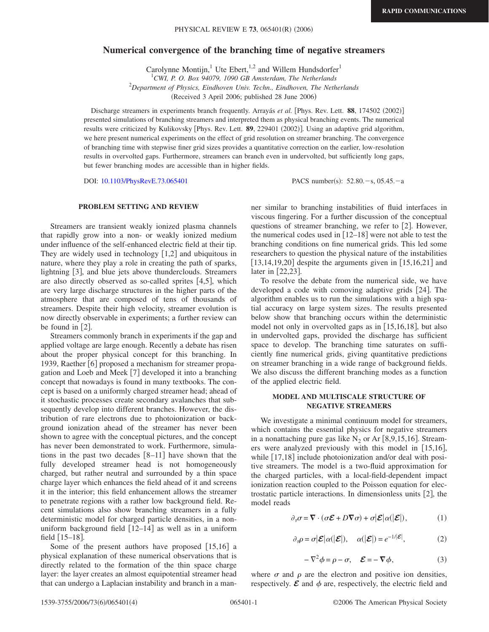# **Numerical convergence of the branching time of negative streamers**

Carolynne Montijn,<sup>1</sup> Ute Ebert,<sup>1,2</sup> and Willem Hundsdorfer<sup>1</sup>

1 *CWI, P. O. Box 94079, 1090 GB Amsterdam, The Netherlands* 2 *Department of Physics, Eindhoven Univ. Techn., Eindhoven, The Netherlands* (Received 3 April 2006; published 28 June 2006)

Discharge streamers in experiments branch frequently. Arrayás et al. [Phys. Rev. Lett. 88, 174502 (2002)] presented simulations of branching streamers and interpreted them as physical branching events. The numerical results were criticized by Kulikovsky [Phys. Rev. Lett. 89, 229401 (2002)]. Using an adaptive grid algorithm, we here present numerical experiments on the effect of grid resolution on streamer branching. The convergence of branching time with stepwise finer grid sizes provides a quantitative correction on the earlier, low-resolution results in overvolted gaps. Furthermore, streamers can branch even in undervolted, but sufficiently long gaps, but fewer branching modes are accessible than in higher fields.

DOI: [10.1103/PhysRevE.73.065401](http://dx.doi.org/10.1103/PhysRevE.73.065401)

PACS number(s):  $52.80 - s$ ,  $05.45 - a$ 

## **PROBLEM SETTING AND REVIEW**

Streamers are transient weakly ionized plasma channels that rapidly grow into a non- or weakly ionized medium under influence of the self-enhanced electric field at their tip. They are widely used in technology  $[1,2]$  and ubiquitous in nature, where they play a role in creating the path of sparks, lightning [3], and blue jets above thunderclouds. Streamers are also directly observed as so-called sprites  $[4,5]$ , which are very large discharge structures in the higher parts of the atmosphere that are composed of tens of thousands of streamers. Despite their high velocity, streamer evolution is now directly observable in experiments; a further review can be found in  $[2]$ .

Streamers commonly branch in experiments if the gap and applied voltage are large enough. Recently a debate has risen about the proper physical concept for this branching. In 1939, Raether [6] proposed a mechanism for streamer propagation and Loeb and Meek  $[7]$  developed it into a branching concept that nowadays is found in many textbooks. The concept is based on a uniformly charged streamer head; ahead of it stochastic processes create secondary avalanches that subsequently develop into different branches. However, the distribution of rare electrons due to photoionization or background ionization ahead of the streamer has never been shown to agree with the conceptual pictures, and the concept has never been demonstrated to work. Furthermore, simulations in the past two decades  $[8-11]$  have shown that the fully developed streamer head is not homogeneously charged, but rather neutral and surrounded by a thin space charge layer which enhances the field ahead of it and screens it in the interior; this field enhancement allows the streamer to penetrate regions with a rather low background field. Recent simulations also show branching streamers in a fully deterministic model for charged particle densities, in a nonuniform background field  $[12-14]$  as well as in a uniform field  $[15–18]$ .

Some of the present authors have proposed  $[15,16]$  a physical explanation of these numerical observations that is directly related to the formation of the thin space charge layer: the layer creates an almost equipotential streamer head that can undergo a Laplacian instability and branch in a manner similar to branching instabilities of fluid interfaces in viscous fingering. For a further discussion of the conceptual questions of streamer branching, we refer to  $[2]$ . However, the numerical codes used in  $[12–18]$  were not able to test the branching conditions on fine numerical grids. This led some researchers to question the physical nature of the instabilities  $[13,14,19,20]$  despite the arguments given in  $[15,16,21]$  and later in  $[22,23]$ .

To resolve the debate from the numerical side, we have developed a code with comoving adaptive grids [24]. The algorithm enables us to run the simulations with a high spatial accuracy on large system sizes. The results presented below show that branching occurs within the deterministic model not only in overvolted gaps as in  $[15,16,18]$ , but also in undervolted gaps, provided the discharge has sufficient space to develop. The branching time saturates on sufficiently fine numerical grids, giving quantitative predictions on streamer branching in a wide range of background fields. We also discuss the different branching modes as a function of the applied electric field.

## **MODEL AND MULTISCALE STRUCTURE OF NEGATIVE STREAMERS**

We investigate a minimal continuum model for streamers, which contains the essential physics for negative streamers in a nonattaching pure gas like  $N_2$  or Ar [8,9,15,16]. Streamers were analyzed previously with this model in  $[15,16]$ , while  $[17,18]$  include photoionization and/or deal with positive streamers. The model is a two-fluid approximation for the charged particles, with a local-field-dependent impact ionization reaction coupled to the Poisson equation for electrostatic particle interactions. In dimensionless units  $[2]$ , the model reads

$$
\partial_{\tau}\sigma = \nabla \cdot (\sigma \mathcal{E} + D\nabla \sigma) + \sigma |\mathcal{E}|\alpha(|\mathcal{E}|), \tag{1}
$$

$$
\partial_{\tau}\rho = \sigma |\mathcal{E}|\alpha(|\mathcal{E}|), \quad \alpha(|\mathcal{E}|) = e^{-1/|\mathcal{E}|}, \tag{2}
$$

$$
-\nabla^2 \phi = \rho - \sigma, \quad \mathcal{E} = -\nabla \phi,\tag{3}
$$

where  $\sigma$  and  $\rho$  are the electron and positive ion densities, respectively.  $\mathcal E$  and  $\phi$  are, respectively, the electric field and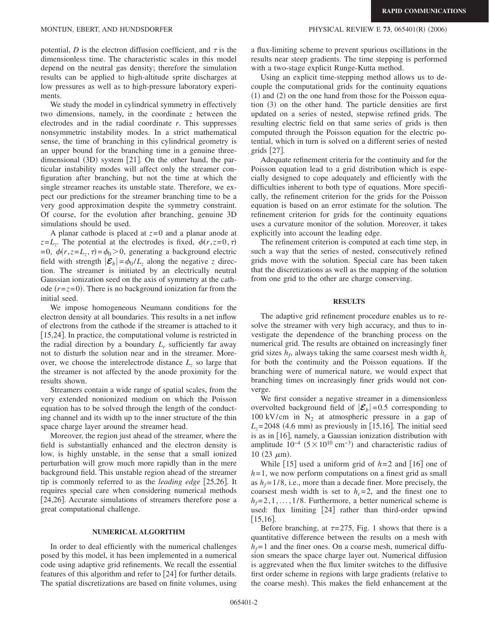potential,  $D$  is the electron diffusion coefficient, and  $\tau$  is the dimensionless time. The characteristic scales in this model depend on the neutral gas density; therefore the simulation results can be applied to high-altitude sprite discharges at low pressures as well as to high-pressure laboratory experiments.

We study the model in cylindrical symmetry in effectively two dimensions, namely, in the coordinate *z* between the electrodes and in the radial coordinate *r*. This suppresses nonsymmetric instability modes. In a strict mathematical sense, the time of branching in this cylindrical geometry is an upper bound for the branching time in a genuine threedimensional (3D) system [21]. On the other hand, the particular instability modes will affect only the streamer configuration after branching, but not the time at which the single streamer reaches its unstable state. Therefore, we expect our predictions for the streamer branching time to be a very good approximation despite the symmetry constraint. Of course, for the evolution after branching, genuine 3D simulations should be used.

A planar cathode is placed at *z*=0 and a planar anode at  $z=L_z$ . The potential at the electrodes is fixed,  $\phi(r,z=0,\tau)$  $= 0$ ,  $\phi(r, z = L_z, \tau) = \phi_0 > 0$ , generating a background electric field with strength  $|\mathcal{E}_b| = \phi_0 / L_z$  along the negative *z* direction. The streamer is initiated by an electrically neutral Gaussian ionization seed on the axis of symmetry at the cathode  $(r = z = 0)$ . There is no background ionization far from the initial seed.

We impose homogeneous Neumann conditions for the electron density at all boundaries. This results in a net inflow of electrons from the cathode if the streamer is attached to it [15,24]. In practice, the computational volume is restricted in the radial direction by a boundary  $L_r$  sufficiently far away not to disturb the solution near and in the streamer. Moreover, we choose the interelectrode distance  $L<sub>z</sub>$  so large that the streamer is not affected by the anode proximity for the results shown.

Streamers contain a wide range of spatial scales, from the very extended nonionized medium on which the Poisson equation has to be solved through the length of the conducting channel and its width up to the inner structure of the thin space charge layer around the streamer head.

Moreover, the region just ahead of the streamer, where the field is substantially enhanced and the electron density is low, is highly unstable, in the sense that a small ionized perturbation will grow much more rapidly than in the mere background field. This unstable region ahead of the streamer tip is commonly referred to as the *leading edge* [25,26]. It requires special care when considering numerical methods [24,26]. Accurate simulations of streamers therefore pose a great computational challenge.

#### **NUMERICAL ALGORITHM**

In order to deal efficiently with the numerical challenges posed by this model, it has been implemented in a numerical code using adaptive grid refinements. We recall the essential features of this algorithm and refer to  $\lceil 24 \rceil$  for further details. The spatial discretizations are based on finite volumes, using a flux-limiting scheme to prevent spurious oscillations in the results near steep gradients. The time stepping is performed with a two-stage explicit Runge-Kutta method.

Using an explicit time-stepping method allows us to decouple the computational grids for the continuity equations  $(1)$  and  $(2)$  on the one hand from those for the Poisson equation (3) on the other hand. The particle densities are first updated on a series of nested, stepwise refined grids. The resulting electric field on that same series of grids is then computed through the Poisson equation for the electric potential, which in turn is solved on a different series of nested grids  $|27|$ .

Adequate refinement criteria for the continuity and for the Poisson equation lead to a grid distribution which is especially designed to cope adequately and efficiently with the difficulties inherent to both type of equations. More specifically, the refinement criterion for the grids for the Poisson equation is based on an error estimate for the solution. The refinement criterion for grids for the continuity equations uses a curvature monitor of the solution. Moreover, it takes explicitly into account the leading edge.

The refinement criterion is computed at each time step, in such a way that the series of nested, consecutively refined grids move with the solution. Special care has been taken that the discretizations as well as the mapping of the solution from one grid to the other are charge conserving.

## **RESULTS**

The adaptive grid refinement procedure enables us to resolve the streamer with very high accuracy, and thus to investigate the dependence of the branching process on the numerical grid. The results are obtained on increasingly finer grid sizes  $h_f$ , always taking the same coarsest mesh width  $h_c$ for both the continuity and the Poisson equations. If the branching were of numerical nature, we would expect that branching times on increasingly finer grids would not converge.

We first consider a negative streamer in a dimensionless overvolted background field of  $|\mathcal{E}_b|$  =0.5 corresponding to 100 kV/cm in  $N_2$  at atmospheric pressure in a gap of  $L_z$ =2048 (4.6 mm) as previously in [15,16]. The initial seed is as in  $[16]$ , namely, a Gaussian ionization distribution with amplitude  $10^{-4}$  (5 ×  $10^{10}$  cm<sup>-3</sup>) and characteristic radius of 10 (23  $\mu$ m).

While  $[15]$  used a uniform grid of  $h=2$  and  $[16]$  one of  $h=1$ , we now perform computations on a finest grid as small as  $h_f = 1/8$ , i.e., more than a decade finer. More precisely, the coarsest mesh width is set to  $h<sub>c</sub>=2$ , and the finest one to  $h_f = 2, 1, \ldots, 1/8$ . Furthermore, a better numerical scheme is used: flux limiting [24] rather than third-order upwind  $|15,16|$ .

Before branching, at  $\tau = 275$ , Fig. 1 shows that there is a quantitative difference between the results on a mesh with  $h_f$ =1 and the finer ones. On a coarse mesh, numerical diffusion smears the space charge layer out. Numerical diffusion is aggrevated when the flux limiter switches to the diffusive first order scheme in regions with large gradients (relative to the coarse mesh). This makes the field enhancement at the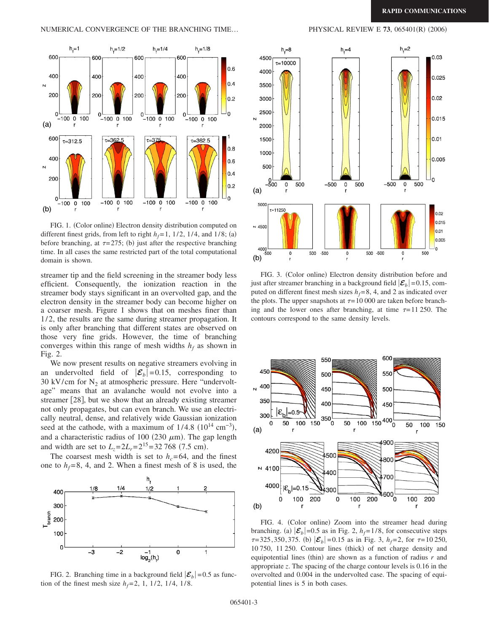

FIG. 1. (Color online) Electron density distribution computed on different finest grids, from left to right  $h_f = 1$ , 1/2, 1/4, and 1/8; (a) before branching, at  $\tau = 275$ ; (b) just after the respective branching time. In all cases the same restricted part of the total computational domain is shown.

streamer tip and the field screening in the streamer body less efficient. Consequently, the ionization reaction in the streamer body stays significant in an overvolted gap, and the electron density in the streamer body can become higher on a coarser mesh. Figure 1 shows that on meshes finer than 1/2, the results are the same during streamer propagation. It is only after branching that different states are observed on those very fine grids. However, the time of branching converges within this range of mesh widths  $h_f$  as shown in Fig. 2.

We now present results on negative streamers evolving in an undervolted field of  $|\mathcal{E}_b|$  = 0.15, corresponding to 30 kV/cm for  $N_2$  at atmospheric pressure. Here "undervoltage" means that an avalanche would not evolve into a streamer [28], but we show that an already existing streamer not only propagates, but can even branch. We use an electrically neutral, dense, and relatively wide Gaussian ionization seed at the cathode, with a maximum of  $1/4.8$   $(10^{14} \text{ cm}^{-3})$ , and a characteristic radius of 100 (230  $\mu$ m). The gap length and width are set to  $L_z = 2L_r = 2^{15} = 32\,768\,$  (7.5 cm).

The coarsest mesh width is set to  $h_c$ =64, and the finest one to  $h_f = 8$ , 4, and 2. When a finest mesh of 8 is used, the



FIG. 2. Branching time in a background field  $|\mathcal{E}_b|$  = 0.5 as function of the finest mesh size  $h_f = 2$ , 1, 1/2, 1/4, 1/8.



FIG. 3. (Color online) Electron density distribution before and just after streamer branching in a background field  $|\mathcal{E}_b|$  =0.15, computed on different finest mesh sizes  $h_f = 8$ , 4, and 2 as indicated over the plots. The upper snapshots at  $\tau = 10000$  are taken before branching and the lower ones after branching, at time  $\tau = 11\,250$ . The contours correspond to the same density levels.



FIG. 4. (Color online) Zoom into the streamer head during branching. (a)  $|\mathcal{E}_b|$  =0.5 as in Fig. 2,  $h_f$  = 1/8, for consecutive steps  $\tau$ =325,350,375. (b)  $|\mathcal{E}_b|$ =0.15 as in Fig. 3,  $h_f$ =2, for  $\tau$ =10 250, 10 750, 11 250. Contour lines (thick) of net charge density and equipotential lines (thin) are shown as a function of radius *r* and appropriate *z*. The spacing of the charge contour levels is 0.16 in the overvolted and 0.004 in the undervolted case. The spacing of equipotential lines is 5 in both cases.